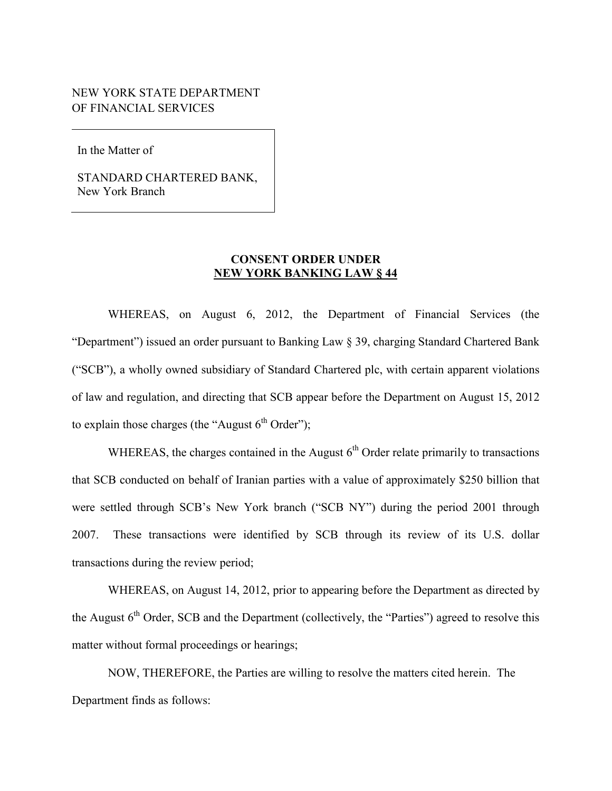# NEW YORK STATE DEPARTMENT<br>OF FINANCIAL SERVICES

In the Matter of

STANDARD CHARTERED BANK, New York Branch

## **CONSENT ORDER UNDER CONSENT ORDER UNDER<br>NEW YORK BANKING LAW § 44**

 "Department") issued an order pursuant to Banking Law § 39, charging Standard Chartered Bank to explain those charges (the "August  $6<sup>th</sup> Order$ "); WHEREAS, on August 6, 2012, the Department of Financial Services (the ("SCB"), a wholly owned subsidiary of Standard Chartered plc, with certain apparent violations of law and regulation, and directing that SCB appear before the Department on August 15, 2012

WHEREAS, the charges contained in the August  $6<sup>th</sup>$  Order relate primarily to transactions transactions during the review period; that SCB conducted on behalf of Iranian parties with a value of approximately \$250 billion that were settled through SCB's New York branch ("SCB NY") during the period 2001 through 2007. These transactions were identified by SCB through its review of its U.S. dollar

the August  $6<sup>th</sup>$  Order, SCB and the Department (collectively, the "Parties") agreed to resolve this WHEREAS, on August 14, 2012, prior to appearing before the Department as directed by matter without formal proceedings or hearings;

 Department finds as follows: NOW, THEREFORE, the Parties are willing to resolve the matters cited herein. The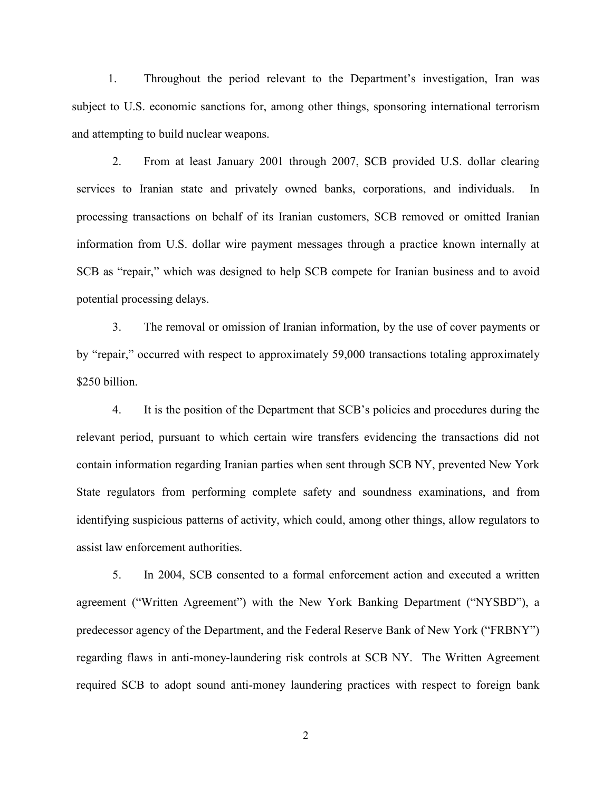1. Throughout the period relevant to the Department's investigation, Iran was subject to U.S. economic sanctions for, among other things, sponsoring international terrorism and attempting to build nuclear weapons.

 SCB as "repair," which was designed to help SCB compete for Iranian business and to avoid 2. From at least January 2001 through 2007, SCB provided U.S. dollar clearing services to Iranian state and privately owned banks, corporations, and individuals. In processing transactions on behalf of its Iranian customers, SCB removed or omitted Iranian information from U.S. dollar wire payment messages through a practice known internally at potential processing delays.

 3. The removal or omission of Iranian information, by the use of cover payments or by "repair," occurred with respect to approximately 59,000 transactions totaling approximately \$250 billion.

 relevant period, pursuant to which certain wire transfers evidencing the transactions did not assist law enforcement authorities. 4. It is the position of the Department that SCB's policies and procedures during the contain information regarding Iranian parties when sent through SCB NY, prevented New York State regulators from performing complete safety and soundness examinations, and from identifying suspicious patterns of activity, which could, among other things, allow regulators to

5. In 2004, SCB consented to a formal enforcement action and executed a written agreement ("Written Agreement") with the New York Banking Department ("NYSBD"), a predecessor agency of the Department, and the Federal Reserve Bank of New York ("FRBNY") regarding flaws in anti-money-laundering risk controls at SCB NY. The Written Agreement required SCB to adopt sound anti-money laundering practices with respect to foreign bank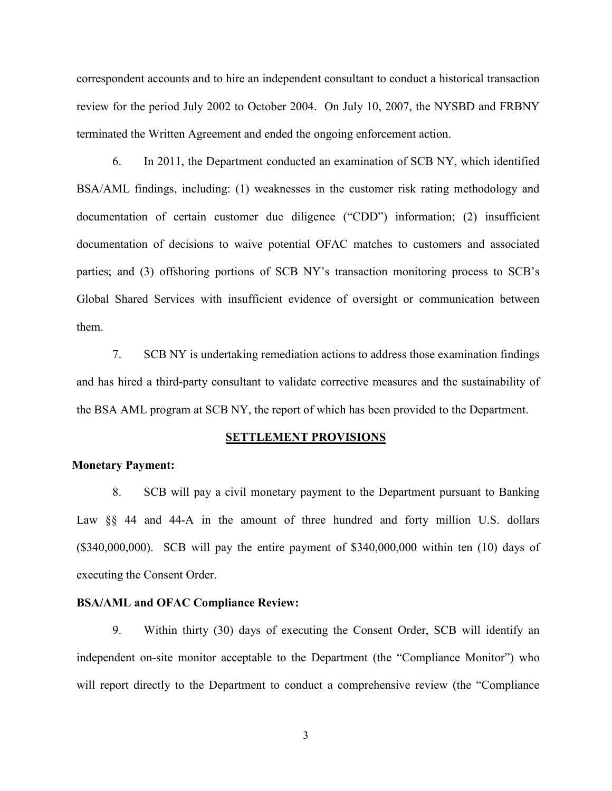correspondent accounts and to hire an independent consultant to conduct a historical transaction review for the period July 2002 to October 2004. On July 10, 2007, the NYSBD and FRBNY terminated the Written Agreement and ended the ongoing enforcement action.

 BSA/AML findings, including: (1) weaknesses in the customer risk rating methodology and 6. In 2011, the Department conducted an examination of SCB NY, which identified documentation of certain customer due diligence ("CDD") information; (2) insufficient documentation of decisions to waive potential OFAC matches to customers and associated parties; and (3) offshoring portions of SCB NY's transaction monitoring process to SCB's Global Shared Services with insufficient evidence of oversight or communication between them.

7. SCB NY is undertaking remediation actions to address those examination findings and has hired a third-party consultant to validate corrective measures and the sustainability of the BSA AML program at SCB NY, the report of which has been provided to the Department.

#### **SETTLEMENT PROVISIONS**

#### **Monetary Payment:**

 (\$340,000,000). SCB will pay the entire payment of \$340,000,000 within ten (10) days of 8. SCB will pay a civil monetary payment to the Department pursuant to Banking Law §§ 44 and 44-A in the amount of three hundred and forty million U.S. dollars executing the Consent Order.

### **BSA/AML and OFAC Compliance Review:**

 independent on-site monitor acceptable to the Department (the "Compliance Monitor") who 9. Within thirty (30) days of executing the Consent Order, SCB will identify an will report directly to the Department to conduct a comprehensive review (the "Compliance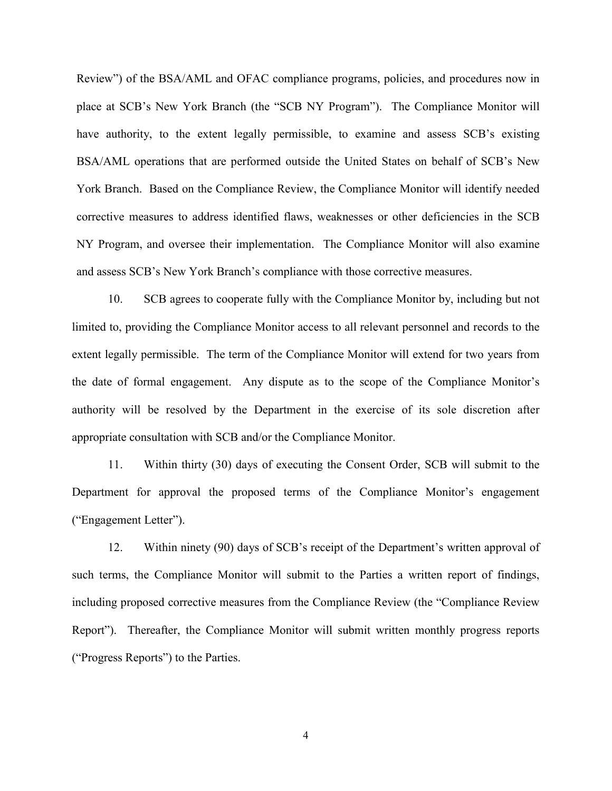Review") of the BSA/AML and OFAC compliance programs, policies, and procedures now in place at SCB's New York Branch (the "SCB NY Program"). The Compliance Monitor will have authority, to the extent legally permissible, to examine and assess SCB's existing BSA/AML operations that are performed outside the United States on behalf of SCB's New York Branch. Based on the Compliance Review, the Compliance Monitor will identify needed corrective measures to address identified flaws, weaknesses or other deficiencies in the SCB NY Program, and oversee their implementation. The Compliance Monitor will also examine and assess SCB's New York Branch's compliance with those corrective measures.

 extent legally permissible. The term of the Compliance Monitor will extend for two years from 10. SCB agrees to cooperate fully with the Compliance Monitor by, including but not limited to, providing the Compliance Monitor access to all relevant personnel and records to the the date of formal engagement. Any dispute as to the scope of the Compliance Monitor's authority will be resolved by the Department in the exercise of its sole discretion after appropriate consultation with SCB and/or the Compliance Monitor.

11. Within thirty (30) days of executing the Consent Order, SCB will submit to the Department for approval the proposed terms of the Compliance Monitor's engagement ("Engagement Letter").

 12. Within ninety (90) days of SCB's receipt of the Department's written approval of such terms, the Compliance Monitor will submit to the Parties a written report of findings, including proposed corrective measures from the Compliance Review (the "Compliance Review Report"). Thereafter, the Compliance Monitor will submit written monthly progress reports ("Progress Reports") to the Parties.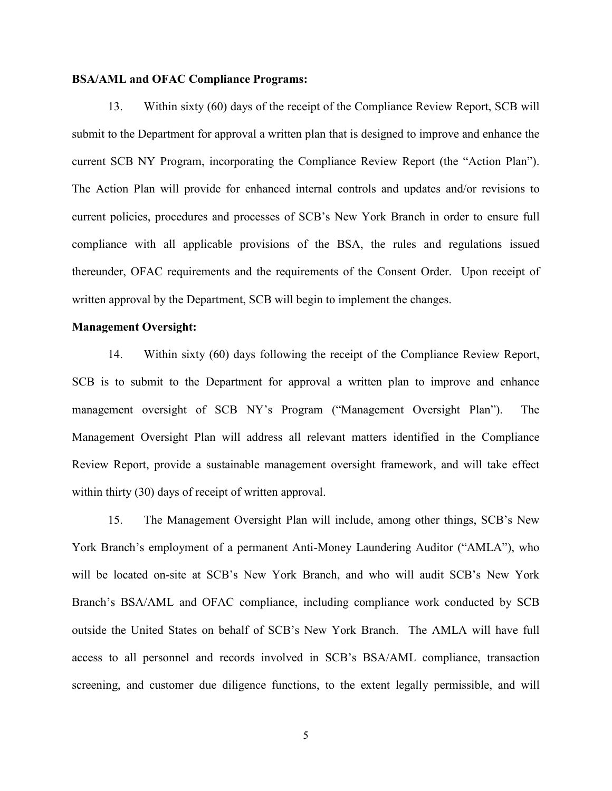#### **BSA/AML and OFAC Compliance Programs:**

current SCB NY Program, incorporating the Compliance Review Report (the "Action Plan"). 13. Within sixty (60) days of the receipt of the Compliance Review Report, SCB will submit to the Department for approval a written plan that is designed to improve and enhance the The Action Plan will provide for enhanced internal controls and updates and/or revisions to current policies, procedures and processes of SCB's New York Branch in order to ensure full compliance with all applicable provisions of the BSA, the rules and regulations issued thereunder, OFAC requirements and the requirements of the Consent Order. Upon receipt of written approval by the Department, SCB will begin to implement the changes.

## **Management Oversight:**

 management oversight of SCB NY's Program ("Management Oversight Plan"). The 14. Within sixty (60) days following the receipt of the Compliance Review Report, SCB is to submit to the Department for approval a written plan to improve and enhance Management Oversight Plan will address all relevant matters identified in the Compliance Review Report, provide a sustainable management oversight framework, and will take effect within thirty (30) days of receipt of written approval.

 Branch's BSA/AML and OFAC compliance, including compliance work conducted by SCB outside the United States on behalf of SCB's New York Branch. The AMLA will have full 15. The Management Oversight Plan will include, among other things, SCB's New York Branch's employment of a permanent Anti-Money Laundering Auditor ("AMLA"), who will be located on-site at SCB's New York Branch, and who will audit SCB's New York access to all personnel and records involved in SCB's BSA/AML compliance, transaction screening, and customer due diligence functions, to the extent legally permissible, and will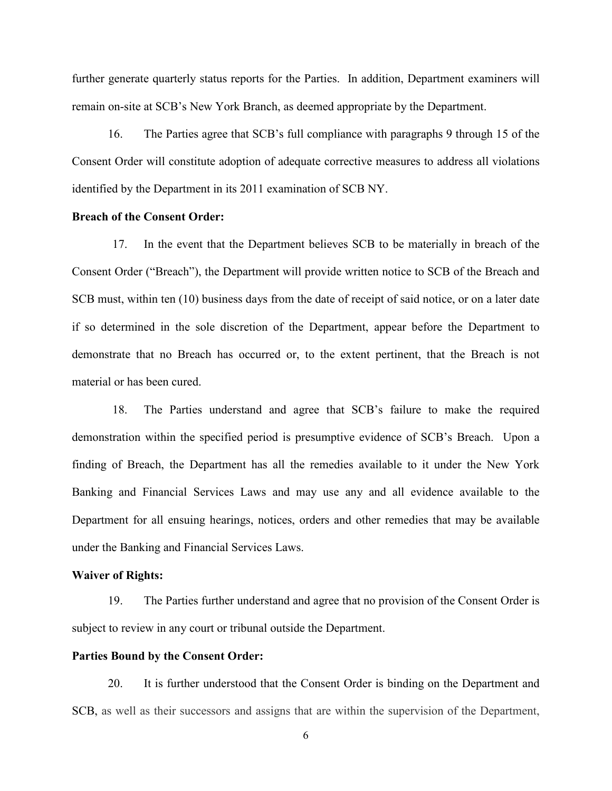further generate quarterly status reports for the Parties. In addition, Department examiners will remain on-site at SCB's New York Branch, as deemed appropriate by the Department.

16. The Parties agree that SCB's full compliance with paragraphs 9 through 15 of the Consent Order will constitute adoption of adequate corrective measures to address all violations identified by the Department in its 2011 examination of SCB NY.

## **Breach of the Consent Order:**

17. In the event that the Department believes SCB to be materially in breach of the Consent Order ("Breach"), the Department will provide written notice to SCB of the Breach and SCB must, within ten (10) business days from the date of receipt of said notice, or on a later date if so determined in the sole discretion of the Department, appear before the Department to demonstrate that no Breach has occurred or, to the extent pertinent, that the Breach is not material or has been cured.

 Banking and Financial Services Laws and may use any and all evidence available to the under the Banking and Financial Services Laws. 18. The Parties understand and agree that SCB's failure to make the required demonstration within the specified period is presumptive evidence of SCB's Breach. Upon a finding of Breach, the Department has all the remedies available to it under the New York Department for all ensuing hearings, notices, orders and other remedies that may be available

#### **Waiver of Rights:**

 19. The Parties further understand and agree that no provision of the Consent Order is subject to review in any court or tribunal outside the Department.

#### **Parties Bound by the Consent Order:**

20. It is further understood that the Consent Order is binding on the Department and SCB, as well as their successors and assigns that are within the supervision of the Department,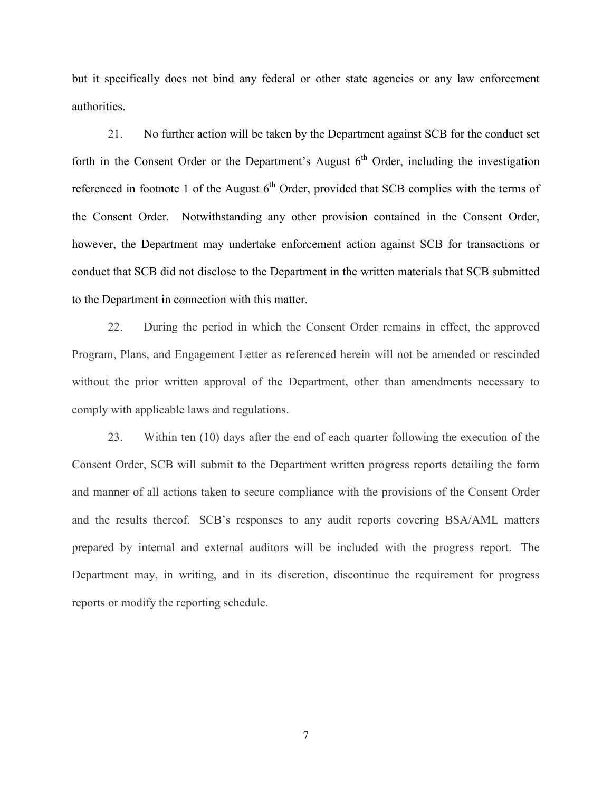but it specifically does not bind any federal or other state agencies or any law enforcement authorities.

 however, the Department may undertake enforcement action against SCB for transactions or 21. No further action will be taken by the Department against SCB for the conduct set forth in the Consent Order or the Department's August  $6<sup>th</sup>$  Order, including the investigation referenced in footnote 1 of the August  $6<sup>th</sup>$  Order, provided that SCB complies with the terms of the Consent Order. Notwithstanding any other provision contained in the Consent Order, conduct that SCB did not disclose to the Department in the written materials that SCB submitted to the Department in connection with this matter.

22. During the period in which the Consent Order remains in effect, the approved Program, Plans, and Engagement Letter as referenced herein will not be amended or rescinded without the prior written approval of the Department, other than amendments necessary to comply with applicable laws and regulations.

 and the results thereof. SCB's responses to any audit reports covering BSA/AML matters prepared by internal and external auditors will be included with the progress report. The 23. Within ten (10) days after the end of each quarter following the execution of the Consent Order, SCB will submit to the Department written progress reports detailing the form and manner of all actions taken to secure compliance with the provisions of the Consent Order Department may, in writing, and in its discretion, discontinue the requirement for progress reports or modify the reporting schedule.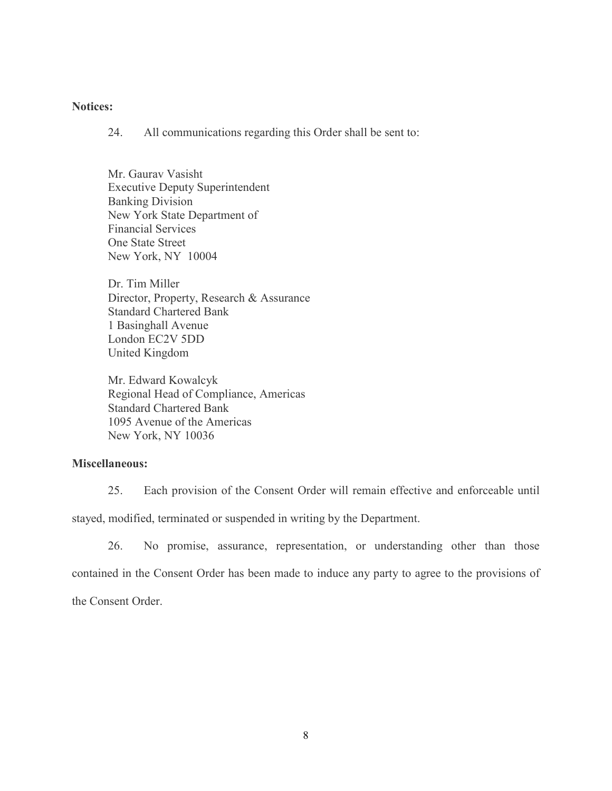## **Notices:**

All communications regarding this Order shall be sent to:

New York, NY 10004 Mr. Gauray Vasisht **Executive Deputy Superintendent Banking Division** Ì. **One State Street** 24. All communications regarding this Order shall be sent to:<br>Mr. Gaurav Vasisht<br>Executive Deputy Superintendent<br>Banking Division<br>New York State Department of<br>Financial Services<br>One State Street<br>New York, NY 10004

Avenue Dr. Tim Miller Director, Property, Research & Assurance London EC2V 5DD Dr. Tim Miller<br>Director, Property, Research & Assurance<br>Standard Chartered Bank<br>1 Basinghall Avenue<br>London EC2V 5DD<br>United Kingdom<br>Mr. Edward Kowalcyk<br>Regional Head of Compliance, Americas<br>Standard Chartered Bank<br>1095 Aven

Mr. Edward Kowalcyk Regional Head of Compliance, Americas 1095 Avenue of the Americas New York, NY 10036

## **Miscellaneous:**

25. Each provision of the Consent Order will remain effective and enforceable until

stayed, modified, terminated or suspended in writing by the Department.

26. No promise, assurance, representation, or understanding other than those contained in the Consent Order has been made to induce any party to agree to the provisions of the Consent Order.